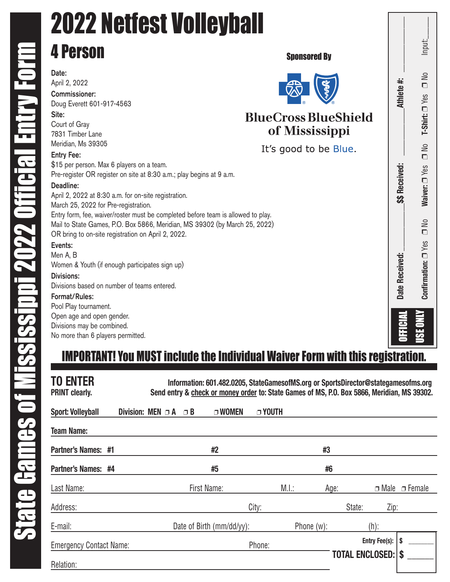Divisions:

Format/Rules: Pool Play tournament. Open age and open gender. Divisions may be combined. No more than 6 players permitted.

Divisions based on number of teams entered.

### 2022 Netfest Volleyball 4 Person Sponsored ByDate: April 2, 2022 Commissioner: Doug Everett 601-917-4563 Site: **BlueCross BlueShield** Court of Gray of Mississippi 7831 Timber Lane Meridian, Ms 39305 It's good to be Blue. Entry Fee: \$15 per person. Max 6 players on a team. Pre-register OR register on site at 8:30 a.m.; play begins at 9 a.m. Deadline: April 2, 2022 at 8:30 a.m. for on-site registration. March 25, 2022 for Pre-registration. Entry form, fee, waiver/roster must be completed before team is allowed to play. Mail to State Games, P.O. Box 5866, Meridian, MS 39302 (by March 25, 2022) OR bring to on-site registration on April 2, 2022. Events: Men A, B Women & Youth (if enough participates sign up)

## **as Received: Letter and the activity of the set of the set of the set of the set of the set of the set of the set of the set of the set of the set of the set of the set of the set of the set of the set of the set of the**  $\neg$  No Input: Input:  $\overline{\mathsf{M}}$ Athlete #:  $\Box$ T-Shirt: 0 Yes ❐ No **T-Shirt:**  $\frac{1}{2}$ **\$\$ Received:** Waiver: <sup>Nes</sup> ❐ No **Waiver:**  $\frac{1}{2}$ Confirmation:  $\square$  Yes Date Received: **Date Received: Confirmation:** USE ONLY OFFICIAL

### IMPORTANT! You MUST include the Individual Waiver Form with this registration.

| <b>TO ENTER</b><br><b>PRINT clearly.</b> | Information: 601.482.0205, StateGamesofMS.org or SportsDirector@stategamesofms.org<br>Send entry & check or money order to: State Games of MS, P.O. Box 5866, Meridian, MS 39302. |               |                        |               |  |
|------------------------------------------|-----------------------------------------------------------------------------------------------------------------------------------------------------------------------------------|---------------|------------------------|---------------|--|
| <b>Sport: Volleyball</b>                 | Division: MEN $\Box$ A<br>□ WOMEN<br>$\Box$ B                                                                                                                                     | <b>DYOUTH</b> |                        |               |  |
| <b>Team Name:</b>                        |                                                                                                                                                                                   |               |                        |               |  |
| Partner's Names: #1                      | #2                                                                                                                                                                                | #3            |                        |               |  |
| Partner's Names: #4                      | #5                                                                                                                                                                                | #6            |                        |               |  |
| Last Name:                               | First Name:                                                                                                                                                                       | M.l.:         | Age:<br>$\Box$ Male    | $\Box$ Female |  |
| Address:                                 |                                                                                                                                                                                   | City:         | State:<br>Zip:         |               |  |
| E-mail:                                  | Date of Birth (mm/dd/yy):                                                                                                                                                         | Phone (w):    | $(h)$ :                |               |  |
| <b>Emergency Contact Name:</b>           |                                                                                                                                                                                   | Phone:        | Entry Fee(s):          |               |  |
| Relation:                                |                                                                                                                                                                                   |               | <b>TOTAL ENCLOSED:</b> |               |  |